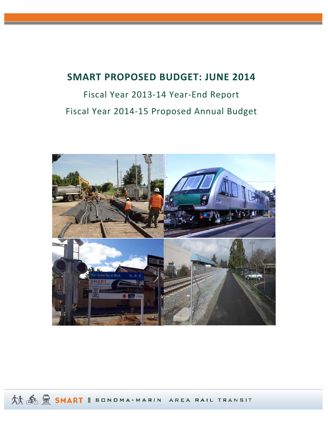# **SMART PROPOSED BUDGET: JUNE 2014**

# Fiscal Year 2013‐14 Year‐End Report Fiscal Year 2014‐15 Proposed Annual Budget



然 6 里 SMART || SONDMA-MARIN AREA RAIL TRANSIT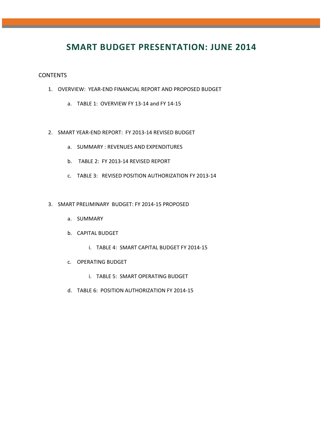# **SMART BUDGET PRESENTATION: JUNE 2014**

### CONTENTS

- 1. OVERVIEW: YEAR‐END FINANCIAL REPORT AND PROPOSED BUDGET
	- a. TABLE 1: OVERVIEW FY 13‐14 and FY 14‐15
- 2. SMART YEAR‐END REPORT: FY 2013‐14 REVISED BUDGET
	- a. SUMMARY : REVENUES AND EXPENDITURES
	- b. TABLE 2: FY 2013‐14 REVISED REPORT
	- c. TABLE 3: REVISED POSITION AUTHORIZATION FY 2013‐14
- 3. SMART PRELIMINARY BUDGET: FY 2014‐15 PROPOSED
	- a. SUMMARY
	- b. CAPITAL BUDGET
		- i. TABLE 4: SMART CAPITAL BUDGET FY 2014‐15
	- c. OPERATING BUDGET
		- i. TABLE 5: SMART OPERATING BUDGET
	- d. TABLE 6: POSITION AUTHORIZATION FY 2014‐15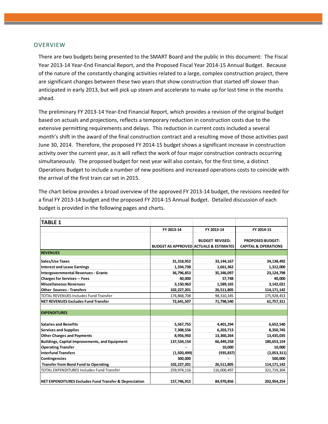### OVERVIEW

There are two budgets being presented to the SMART Board and the public in this document: The Fiscal Year 2013‐14 Year‐End Financial Report, and the Proposed Fiscal Year 2014‐15 Annual Budget. Because of the nature of the constantly changing activities related to a large, complex construction project, there are significant changes between these two years that show construction that started off slower than anticipated in early 2013, but will pick up steam and accelerate to make up for lost time in the months ahead.

The preliminary FY 2013‐14 Year‐End Financial Report, which provides a revision of the original budget based on actuals and projections, reflects a temporary reduction in construction costs due to the extensive permitting requirements and delays. This reduction in current costs included a several month's shift in the award of the final construction contract and a resulting move of those activities past June 30, 2014. Therefore, the proposed FY 2014‐15 budget shows a significant increase in construction activity over the current year, as it will reflect the work of four major construction contracts occurring simultaneously. The proposed budget for next year will also contain, for the first time, a distinct Operations Budget to include a number of new positions and increased operations costs to coincide with the arrival of the first train car set in 2015.

The chart below provides a broad overview of the approved FY 2013‐14 budget, the revisions needed for a final FY 2013‐14 budget and the proposed FY 2014‐15 Annual Budget. Detailed discussion of each budget is provided in the following pages and charts.

| <b>TABLE 1</b>                                         |               |                                                                             |                                                            |
|--------------------------------------------------------|---------------|-----------------------------------------------------------------------------|------------------------------------------------------------|
|                                                        | FY 2013-14    | FY 2013-14                                                                  | FY 2014-15                                                 |
|                                                        |               | <b>BUDGET REVISED:</b><br><b>BUDGET AS APPROVED ACTUALS &amp; ESTIMATES</b> | <b>PROPOSED BUDGET:</b><br><b>CAPITAL &amp; OPERATIONS</b> |
| <b>REVENUES</b>                                        |               |                                                                             |                                                            |
| Sales/Use Taxes                                        | 31,318,952    | 33,144,167                                                                  | 34,138,492                                                 |
| <b>Interest and Lease Earnings</b>                     | 1,334,738     | 1,661,362                                                                   | 1,312,000                                                  |
| <b>Intergovernmental Revenues - Grants</b>             | 36,796,853    | 35,346,097                                                                  | 23, 124, 798                                               |
| <b>Charges for Services -- Fees</b>                    | 40,000        | 57,748                                                                      | 40,000                                                     |
| <b>Miscellaneous Revenues</b>                          | 3,150,963     | 1,589,165                                                                   | 3,142,021                                                  |
| <b>Other Sources - Transfers</b>                       | 102,227,201   | 26,511,805                                                                  | 114, 171, 142                                              |
| <b>TOTAL REVENUES Includes Fund Transfer</b>           | 174,868,708   | 98,310,345                                                                  | 175,928,453                                                |
| <b>NET REVENUES Excludes Fund Transfer</b>             | 72,641,507    | 71,798,540                                                                  | 61,757,311                                                 |
|                                                        |               |                                                                             |                                                            |
| <b>EXPENDITURES</b>                                    |               |                                                                             |                                                            |
| <b>Salaries and Benefits</b>                           | 5,567,755     | 4,401,294                                                                   | 6,652,540                                                  |
| <b>Services and Supplies</b>                           | 7,308,556     | 6,203,713                                                                   | 8,350,745                                                  |
| <b>Other Charges and Payments</b>                      | 8,956,950     | 13,360,264                                                                  | 13,435,035                                                 |
| Buildings, Capital Improvements, and Equipment         | 137,534,154   | 66,449,258                                                                  | 180,653,154                                                |
| <b>Operating Transfer</b>                              |               | 10,000                                                                      | 10,000                                                     |
| <b>Interfund Transfers</b>                             | (1,920,499)   | (935, 837)                                                                  | (2,053,311)                                                |
| <b>Contingencies</b>                                   | 300,000       |                                                                             | 500,000                                                    |
| <b>Transfer from Bond Fund to Operating</b>            | 102, 227, 201 | 26,511,805                                                                  | 114, 171, 142                                              |
| <b>TOTAL EXPENDITURES Includes Fund Transfer</b>       | 259,974,116   | 116,000,497                                                                 | 321,719,304                                                |
| NET EXPENDITURES Excludes Fund Transfer & Depreciation | 157,746,915   | 84,970,856                                                                  | 202,954,254                                                |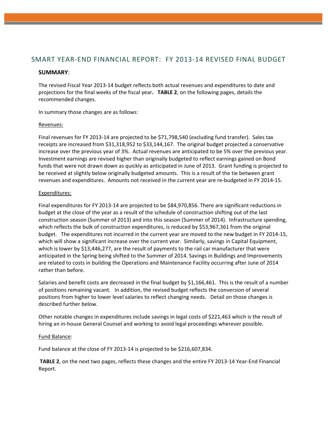# SMART YEAR‐END FINANCIAL REPORT: FY 2013‐14 REVISED FINAL BUDGET

# **SUMMARY**:

The revised Fiscal Year 2013‐14 budget reflects both actual revenues and expenditures to date and projections for the final weeks of the fiscal year**. TABLE 2**, on the following pages, details the recommended changes.

In summary those changes are as follows:

#### Revenues:

Final revenues for FY 2013-14 are projected to be \$71,798,540 (excluding fund transfer). Sales tax receipts are increased from \$31,318,952 to \$33,144,167. The original budget projected a conservative increase over the previous year of 3%. Actual revenues are anticipated to be 5% over the previous year. Investment earnings are revised higher than originally budgeted to reflect earnings gained on Bond funds that were not drawn down as quickly as anticipated in June of 2013. Grant funding is projected to be received at slightly below originally budgeted amounts. This is a result of the tie between grant revenues and expenditures. Amounts not received in the current year are re‐budgeted in FY 2014‐15.

### Expenditures:

Final expenditures for FY 2013‐14 are projected to be \$84,970,856. There are significant reductions in budget at the close of the year as a result of the schedule of construction shifting out of the last construction season (Summer of 2013) and into this season (Summer of 2014). Infrastructure spending, which reflects the bulk of construction expenditures, is reduced by \$53,967,361 from the original budget. The expenditures not incurred in the current year are moved to the new budget in FY 2014‐15, which will show a significant increase over the current year. Similarly, savings in Capital Equipment, which is lower by \$13,446,277, are the result of payments to the rail car manufacturer that were anticipated in the Spring being shifted to the Summer of 2014. Savings in Buildings and Improvements are related to costs in building the Operations and Maintenance Facility occurring after June of 2014 rather than before.

Salaries and benefit costs are decreased in the final budget by \$1,166,461. This is the result of a number of positions remaining vacant. In addition, the revised budget reflects the conversion of several positions from higher to lower level salaries to reflect changing needs. Detail on those changes is described further below.

Other notable changes in expenditures include savings in legal costs of \$221,463 which is the result of hiring an in-house General Counsel and working to avoid legal proceedings wherever possible.

#### Fund Balance:

Fund balance at the close of FY 2013‐14 is projected to be \$216,607,834.

**TABLE 2**, on the next two pages, reflects these changes and the entire FY 2013‐14 Year‐End Financial Report.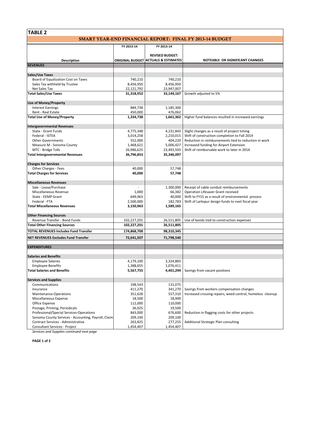# **TABLE 2**

|                                                     | SMART YEAR-END FINANCIAL REPORT: FINAL FY 2013-14 BUDGET |                                                |                                                            |  |  |  |
|-----------------------------------------------------|----------------------------------------------------------|------------------------------------------------|------------------------------------------------------------|--|--|--|
|                                                     | FY 2013-14                                               | FY 2013-14                                     |                                                            |  |  |  |
|                                                     |                                                          |                                                |                                                            |  |  |  |
|                                                     |                                                          | <b>REVISED BUDGET:</b>                         |                                                            |  |  |  |
| <b>Description</b>                                  |                                                          | <b>ORIGINAL BUDGET ACTUALS &amp; ESTIMATES</b> | NOTEABLE OR SIGNIFICANT CHANGES                            |  |  |  |
| <b>REVENUES</b>                                     |                                                          |                                                |                                                            |  |  |  |
| Sales/Use Taxes                                     |                                                          |                                                |                                                            |  |  |  |
| Board of Equalization Cost on Taxes                 | 740,210                                                  | 740,210                                        |                                                            |  |  |  |
| Sales Tax withheld by Trustee                       | 8,456,950                                                | 8,456,950                                      |                                                            |  |  |  |
| Net Sales Tax                                       | 22,121,792                                               | 23,947,007                                     |                                                            |  |  |  |
| <b>Total Sales/Use Taxes</b>                        | 31,318,952                                               | 33,144,167                                     | Growth adjusted to 5%                                      |  |  |  |
|                                                     |                                                          |                                                |                                                            |  |  |  |
| <b>Use of Money/Property</b>                        |                                                          |                                                |                                                            |  |  |  |
| <b>Interest Earnings</b><br>Rent - Real Estate      | 884,738<br>450,000                                       | 1,185,300                                      |                                                            |  |  |  |
| <b>Total Use of Money/Property</b>                  | 1,334,738                                                | 476,062<br>1,661,362                           | Higher fund balances resulted in increased earnings        |  |  |  |
|                                                     |                                                          |                                                |                                                            |  |  |  |
| <b>Intergovernmental Revenues</b>                   |                                                          |                                                |                                                            |  |  |  |
| State - Grant Funds                                 | 4,775,348                                                | 4,231,843                                      | Slight changes as a result of project timing               |  |  |  |
| Federal - ISTEA                                     | 3,014,258                                                | 2,210,015                                      | Shift of construction completion to Fall 2014              |  |  |  |
| <b>Other Governments</b>                            | 552,000                                                  | 404,220                                        | Reduction in reimbursements tied to reduction in work      |  |  |  |
| Measure M - Sonoma County                           | 1,468,621                                                | 5,006,427                                      | Increased funding for Airport Extension                    |  |  |  |
| MTC - Bridge Tolls                                  | 26,986,625                                               | 23,493,593                                     | Shift of reimbursable work to later in 2014                |  |  |  |
| <b>Total Intergovernmental Revenues</b>             | 36,796,853                                               | 35,346,097                                     |                                                            |  |  |  |
|                                                     |                                                          |                                                |                                                            |  |  |  |
| <b>Charges for Services</b>                         |                                                          |                                                |                                                            |  |  |  |
| Other Charges - Fees                                | 40,000                                                   | 57,748                                         |                                                            |  |  |  |
| <b>Total Charges for Services</b>                   | 40,000                                                   | 57,748                                         |                                                            |  |  |  |
| <b>Miscellaneous Revenues</b>                       |                                                          |                                                |                                                            |  |  |  |
| Sale - Lease/Purchase                               |                                                          | 1,300,000                                      | Receipt of cable conduit reimbursements                    |  |  |  |
| Miscellaneous Revenue                               | 1,000                                                    | 66,382                                         | Operation Lifesaver Grant received                         |  |  |  |
| State - EEMP Grant                                  | 649,963                                                  | 40,000                                         | Shift to FY15 as a result of environmental process         |  |  |  |
| Federal - FTA                                       | 2,500,000                                                | 182,783                                        | Shift of Larkspur design funds to next fiscal year         |  |  |  |
| <b>Total Miscellaneous Revenues</b>                 | 3,150,963                                                | 1,589,165                                      |                                                            |  |  |  |
|                                                     |                                                          |                                                |                                                            |  |  |  |
| <b>Other Financing Sources</b>                      |                                                          |                                                |                                                            |  |  |  |
| Revenue Transfer - Bond Funds                       | 102,227,201                                              | 26,511,805                                     | Use of bonds tied to construction expenses                 |  |  |  |
| <b>Total Other Financing Sources</b>                | 102,227,201                                              | 26,511,805                                     |                                                            |  |  |  |
| <b>TOTAL REVENUES Includes Fund Transfer</b>        | 174,868,708                                              | 98,310,345                                     |                                                            |  |  |  |
| <b>NET REVENUES Excludes Fund Transfer</b>          | 72,641,507                                               | 71,798,540                                     |                                                            |  |  |  |
|                                                     |                                                          |                                                |                                                            |  |  |  |
| <b>EXPENDITURES</b>                                 |                                                          |                                                |                                                            |  |  |  |
|                                                     |                                                          |                                                |                                                            |  |  |  |
| <b>Salaries and Benefits</b>                        |                                                          |                                                |                                                            |  |  |  |
| <b>Employee Salaries</b>                            | 4,179,100                                                | 3,324,883                                      |                                                            |  |  |  |
| <b>Employee Benefits</b>                            | 1,388,655                                                | 1,076,411                                      |                                                            |  |  |  |
| <b>Total Salaries and Benefits</b>                  | 5,567,755                                                | 4,401,294                                      | Savings from vacant positions                              |  |  |  |
| <b>Services and Supplies</b>                        |                                                          |                                                |                                                            |  |  |  |
| Communications                                      | 198,543                                                  | 131,075                                        |                                                            |  |  |  |
| Insurance                                           | 411,270                                                  | 341,270                                        | Savings from workers compensation changes                  |  |  |  |
| Maintenance-Operations                              | 351,628                                                  | 557,310                                        | Increased crossing repairs, weed control, homeless cleanup |  |  |  |
| Miscellaneous Expense                               | 18,500                                                   | 18,900                                         |                                                            |  |  |  |
| Office Expense                                      | 112,000                                                  | 110,000                                        |                                                            |  |  |  |
| Postage, Printing, Periodicals                      | 36,025                                                   | 19,500                                         |                                                            |  |  |  |
| Professional/Special Services-Operations            | 843,000                                                  | 676,600                                        | Reduction in flagging costs for other projects             |  |  |  |
| Sonoma County Services - Accounting, Payroll, Claim | 209,100                                                  | 209,100                                        |                                                            |  |  |  |
| Contract Services - Administrative                  | 263,825                                                  | 277,255                                        | Additional Strategic Plan consulting                       |  |  |  |
| Consultant Services - Project                       | 1,454,407                                                | 1,454,407                                      |                                                            |  |  |  |
| Convices and Cupplies continued novt nags           |                                                          |                                                |                                                            |  |  |  |

*Services and Supplies continued next page*

**PAGE 1 of 2**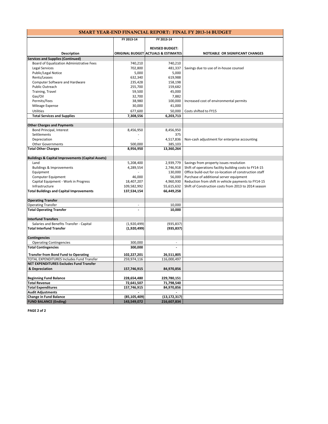|            |            | <b>SMART YEAR-END FINANCIAL REPORT: FINAL FY 2013-14 BUDGET</b> |
|------------|------------|-----------------------------------------------------------------|
|            |            |                                                                 |
| FY 2013-14 | FY 2013-14 |                                                                 |

|                                                              |                          | <b>REVISED BUDGET:</b>                         |                                                        |
|--------------------------------------------------------------|--------------------------|------------------------------------------------|--------------------------------------------------------|
| <b>Description</b>                                           |                          | <b>ORIGINAL BUDGET ACTUALS &amp; ESTIMATES</b> | NOTEABLE OR SIGNIFICANT CHANGES                        |
| <b>Services and Supplies (Continued)</b>                     |                          |                                                |                                                        |
| Board of Equalization Administrative Fees                    | 740,210                  | 740,210                                        |                                                        |
| <b>Legal Services</b>                                        | 702,800                  | 481,337                                        | Savings due to use of in-house counsel                 |
| Public/Legal Notice                                          | 5,000                    | 5,000                                          |                                                        |
| Rents/Leases                                                 | 632,340                  | 619,988                                        |                                                        |
| Computer Software and Hardware                               | 235,428                  | 158,198                                        |                                                        |
| Public Outreach                                              | 255,700                  | 159,682                                        |                                                        |
| Training, Travel                                             | 59,500                   | 45,000                                         |                                                        |
| Gas/Oil                                                      | 32,700                   | 7,882                                          |                                                        |
| Permits/Fees                                                 | 38,980                   | 100,000                                        | Increased cost of environmental permits                |
| Mileage Expense                                              | 30,000                   | 41,000                                         |                                                        |
|                                                              |                          |                                                |                                                        |
| <b>Utilities</b>                                             | 677,600                  | 50,000                                         | Costs shifted to FY15                                  |
| <b>Total Services and Supplies</b>                           | 7,308,556                | 6,203,713                                      |                                                        |
| <b>Other Charges and Payments</b>                            |                          |                                                |                                                        |
| Bond Principal, Interest                                     | 8,456,950                | 8,456,950                                      |                                                        |
| Settlements                                                  |                          | 375                                            |                                                        |
| Depreciation                                                 |                          | 4,517,836                                      | Non-cash adjustment for enterprise accounting          |
| <b>Other Governments</b>                                     | 500,000                  | 385,103                                        |                                                        |
| <b>Total Other Charges</b>                                   | 8,956,950                | 13,360,264                                     |                                                        |
|                                                              |                          |                                                |                                                        |
| <b>Buildings &amp; Capital Improvements (Capital Assets)</b> |                          |                                                |                                                        |
| Land                                                         | 5,208,400                | 2,939,779                                      | Savings from property issues resolution                |
| <b>Buildings &amp; Improvements</b>                          | 4,289,554                | 2,746,918                                      | Shift of operations facility building costs to FY14-15 |
| Equipment                                                    |                          | 130,000                                        | Office build-out for co-location of construction staff |
| Computer Equipment                                           | 46,000                   | 56,000                                         | Purchase of additional server equipment                |
| Capital Equipment - Work in Progress                         | 18,407,207               | 4,960,930                                      | Reduction from shift in vehicle payments to FY14-15    |
| Infrastructure                                               | 109,582,992              | 55,615,632                                     | Shift of Construction costs from 2013 to 2014 season   |
| <b>Total Buildings and Capital Improvements</b>              | 137,534,154              | 66,449,258                                     |                                                        |
| <b>Operating Transfer</b>                                    |                          |                                                |                                                        |
| <b>Operating Transfer</b>                                    | $\overline{\phantom{a}}$ | 10,000                                         |                                                        |
| <b>Total Operating Transfer</b>                              |                          | 10,000                                         |                                                        |
| <b>Interfund Transfers</b>                                   |                          |                                                |                                                        |
| Salaries and Benefits Transfer - Capital                     | (1,920,499)              | (935, 837)                                     |                                                        |
| <b>Total Interfund Transfer</b>                              | (1,920,499)              | (935, 837)                                     |                                                        |
|                                                              |                          |                                                |                                                        |
| Contingencies                                                |                          |                                                |                                                        |
| <b>Operating Contingencies</b>                               | 300,000                  |                                                |                                                        |
| <b>Total Contingencies</b>                                   | 300,000                  |                                                |                                                        |
| <b>Transfer from Bond Fund to Operating</b>                  | 102,227,201              | 26,511,805                                     |                                                        |
| TOTAL EXPENDITURES Includes Fund Transfer                    | 259,974,116              | 116,000,497                                    |                                                        |
| <b>NET EXPENDITURES Excludes Fund Transfer</b>               |                          |                                                |                                                        |
| & Depreciation                                               | 157,746,915              | 84,970,856                                     |                                                        |
| <b>Beginning Fund Balance</b>                                | 228,654,480              | 229,780,151                                    |                                                        |
| <b>Total Revenue</b>                                         | 72,641,507               | 71,798,540                                     |                                                        |
| <b>Total Expenditures</b>                                    | 157,746,915              | 84,970,856                                     |                                                        |
| <b>Audit Adjustments</b>                                     |                          |                                                |                                                        |
| <b>Change in Fund Balance</b>                                | (85, 105, 409)           | (13, 172, 317)                                 |                                                        |
| <b>FUND BALANCE (Ending)</b>                                 | 143,549,072              | 216,607,834                                    |                                                        |

**PAGE 2 of 2**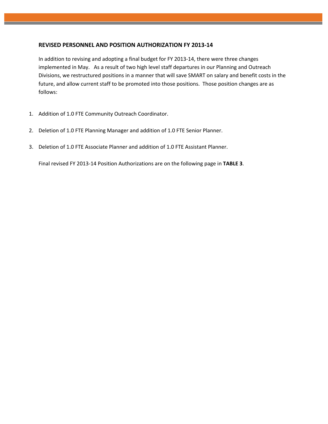# **REVISED PERSONNEL AND POSITION AUTHORIZATION FY 2013‐14**

In addition to revising and adopting a final budget for FY 2013‐14, there were three changes implemented in May. As a result of two high level staff departures in our Planning and Outreach Divisions, we restructured positions in a manner that will save SMART on salary and benefit costs in the future, and allow current staff to be promoted into those positions. Those position changes are as follows:

- 1. Addition of 1.0 FTE Community Outreach Coordinator.
- 2. Deletion of 1.0 FTE Planning Manager and addition of 1.0 FTE Senior Planner.
- 3. Deletion of 1.0 FTE Associate Planner and addition of 1.0 FTE Assistant Planner.

Final revised FY 2013‐14 Position Authorizations are on the following page in **TABLE 3**.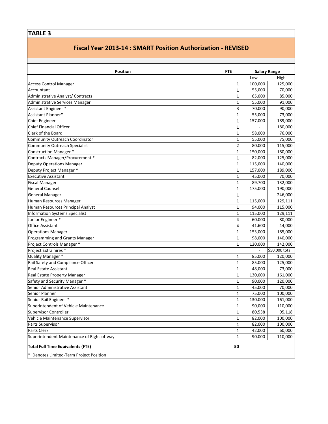# **TABLE 3**

# **Fiscal Year 2013‐14 : SMART Position Authorization ‐ REVISED**

| Position                                   | <b>FTE</b>              |         | <b>Salary Range</b> |
|--------------------------------------------|-------------------------|---------|---------------------|
|                                            |                         | Low     | High                |
| <b>Access Control Manager</b>              | 1                       | 100,000 | 125,000             |
| Accountant                                 | $\mathbf 1$             | 55,000  | 70,000              |
| Administrative Analyst/ Contracts          | $\mathbf{1}$            | 65,000  | 85,000              |
| Administrative Services Manager            | 1                       | 55,000  | 91,000              |
| Assistant Engineer *                       | 3                       | 70,000  | 90,000              |
| Assistant Planner*                         | $\mathbf{1}$            | 55,000  | 73,000              |
| <b>Chief Engineer</b>                      | 1                       | 157,000 | 189,000             |
| <b>Chief Financial Officer</b>             | 1                       |         | 180,000             |
| Clerk of the Board                         | $\mathbf 1$             | 58,000  | 76,000              |
| Community Outreach Coordinator             | $\mathbf 1$             | 55,000  | 75,000              |
| <b>Community Outreach Specialist</b>       | $\overline{\mathbf{c}}$ | 80,000  | 115,000             |
| <b>Construction Manager *</b>              | $\mathbf{1}$            | 150,000 | 180,000             |
| Contracts Manager/Procurement *            | $\mathbf{1}$            | 82,000  | 125,000             |
| <b>Deputy Operations Manager</b>           | 1                       | 115,000 | 140,000             |
| Deputy Project Manager *                   | 1                       | 157,000 | 189,000             |
| <b>Executive Assistant</b>                 | $\mathbf{1}$            | 45,000  | 70,000              |
| <b>Fiscal Manager</b>                      | $\mathbf{1}$            | 89,700  | 132,000             |
| <b>General Counsel</b>                     | 1                       | 175,000 | 190,000             |
| <b>General Manager</b>                     | $\mathbf{1}$            |         | 246,000             |
| Human Resources Manager                    | $\mathbf 1$             | 115,000 | 129,111             |
| Human Resources Principal Analyst          | $\mathbf 1$             | 94,000  | 115,000             |
| <b>Information Systems Specialist</b>      | $\mathbf 1$             | 115,000 | 129,111             |
| Junior Engineer *                          | 4                       | 60,000  | 80,000              |
| <b>Office Assistant</b>                    | 4                       | 41,600  | 44,000              |
| <b>Operations Manager</b>                  | $\mathbf{1}$            | 153,000 | 185,000             |
| Programming and Grants Manager             | $\mathbf{1}$            | 98,000  | 140,000             |
| Project Controls Manager *                 | $\mathbf{1}$            | 120,000 | 142,000             |
| Project Extra hires *                      |                         |         | \$50,000 total      |
| Quality Manager *                          | 1                       | 85,000  | 120,000             |
| Rail Safety and Compliance Officer         | 1                       | 85,000  | 125,000             |
| <b>Real Estate Assistant</b>               | $\mathbf{1}$            | 48,000  | 73,000              |
| Real Estate Property Manager               | 1                       | 130,000 | 161,000             |
| Safety and Security Manager *              | 1                       | 90,000  | 120,000             |
| Senior Administrative Assistant            | $\mathbf 1$             | 45,000  | 70,000              |
| Senior Planner                             | 1                       | 75,000  | 100,000             |
| Senior Rail Engineer *                     | $\mathbf 1$             | 130,000 | 161,000             |
| Superintendent of Vehicle Maintenance      | $\mathbf{1}$            | 90,000  | 110,000             |
| <b>Supervisor Controller</b>               | $\mathbf{1}$            | 80,538  | 95,118              |
| Vehicle Maintenance Supervisor             | $\mathbf{1}$            | 82,000  | 100,000             |
| Parts Supervisor                           | $\mathbf{1}$            | 82,000  | 100,000             |
| Parts Clerk                                | $\mathbf{1}$            | 42,000  | 60,000              |
| Superintendent Maintenance of Right-of-way | $\mathbf{1}$            | 90,000  | 110,000             |
| <b>Total Full Time Equivalents (FTE)</b>   | 50                      |         |                     |
| * Denotes Limited-Term Project Position    |                         |         |                     |

\* Denotes Limited‐Term Project Position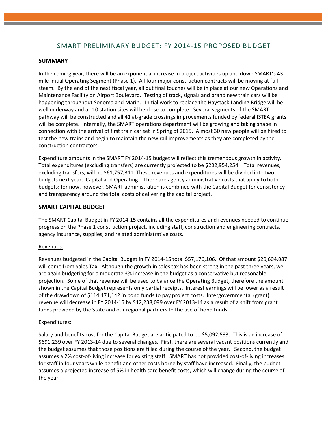# SMART PRELIMINARY BUDGET: FY 2014‐15 PROPOSED BUDGET

### **SUMMARY**

In the coming year, there will be an exponential increase in project activities up and down SMART's 43‐ mile Initial Operating Segment (Phase 1). All four major construction contracts will be moving at full steam. By the end of the next fiscal year, all but final touches will be in place at our new Operations and Maintenance Facility on Airport Boulevard. Testing of track, signals and brand new train cars will be happening throughout Sonoma and Marin. Initial work to replace the Haystack Landing Bridge will be well underway and all 10 station sites will be close to complete. Several segments of the SMART pathway will be constructed and all 41 at‐grade crossings improvements funded by federal ISTEA grants will be complete. Internally, the SMART operations department will be growing and taking shape in connection with the arrival of first train car set in Spring of 2015. Almost 30 new people will be hired to test the new trains and begin to maintain the new rail improvements as they are completed by the construction contractors.

Expenditure amounts in the SMART FY 2014‐15 budget will reflect this tremendous growth in activity. Total expenditures (excluding transfers) are currently projected to be \$202,954,254. Total revenues, excluding transfers, will be \$61,757,311. These revenues and expenditures will be divided into two budgets next year: Capital and Operating. There are agency administrative costs that apply to both budgets; for now, however, SMART administration is combined with the Capital Budget for consistency and transparency around the total costs of delivering the capital project.

# **SMART CAPITAL BUDGET**

The SMART Capital Budget in FY 2014‐15 contains all the expenditures and revenues needed to continue progress on the Phase 1 construction project, including staff, construction and engineering contracts, agency insurance, supplies, and related administrative costs.

# Revenues:

Revenues budgeted in the Capital Budget in FY 2014‐15 total \$57,176,106. Of that amount \$29,604,087 will come from Sales Tax. Although the growth in sales tax has been strong in the past three years, we are again budgeting for a moderate 3% increase in the budget as a conservative but reasonable projection. Some of that revenue will be used to balance the Operating Budget, therefore the amount shown in the Capital Budget represents only partial receipts. Interest earnings will be lower as a result of the drawdown of \$114,171,142 in bond funds to pay project costs. Intergovernmental (grant) revenue will decrease in FY 2014‐15 by \$12,238,099 over FY 2013‐14 as a result of a shift from grant funds provided by the State and our regional partners to the use of bond funds.

#### Expenditures:

Salary and benefits cost for the Capital Budget are anticipated to be \$5,092,533. This is an increase of \$691,239 over FY 2013‐14 due to several changes. First, there are several vacant positions currently and the budget assumes that those positions are filled during the course of the year. Second, the budget assumes a 2% cost‐of‐living increase for existing staff. SMART has not provided cost‐of‐living increases for staff in four years while benefit and other costs borne by staff have increased. Finally, the budget assumes a projected increase of 5% in health care benefit costs, which will change during the course of the year.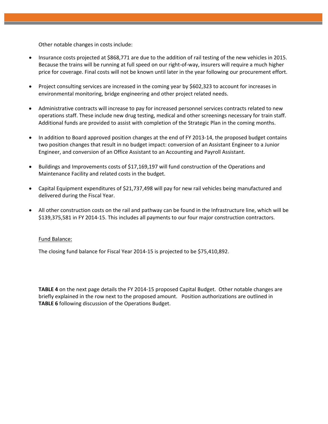Other notable changes in costs include:

- Insurance costs projected at \$868,771 are due to the addition of rail testing of the new vehicles in 2015. Because the trains will be running at full speed on our right‐of‐way, insurers will require a much higher price for coverage. Final costs will not be known until later in the year following our procurement effort.
- Project consulting services are increased in the coming year by \$602,323 to account for increases in environmental monitoring, bridge engineering and other project related needs.
- Administrative contracts will increase to pay for increased personnel services contracts related to new operations staff. These include new drug testing, medical and other screenings necessary for train staff. Additional funds are provided to assist with completion of the Strategic Plan in the coming months.
- In addition to Board approved position changes at the end of FY 2013‐14, the proposed budget contains two position changes that result in no budget impact: conversion of an Assistant Engineer to a Junior Engineer, and conversion of an Office Assistant to an Accounting and Payroll Assistant.
- Buildings and Improvements costs of \$17,169,197 will fund construction of the Operations and Maintenance Facility and related costs in the budget.
- Capital Equipment expenditures of \$21,737,498 will pay for new rail vehicles being manufactured and delivered during the Fiscal Year.
- All other construction costs on the rail and pathway can be found in the Infrastructure line, which will be \$139,375,581 in FY 2014‐15. This includes all payments to our four major construction contractors.

#### Fund Balance:

The closing fund balance for Fiscal Year 2014‐15 is projected to be \$75,410,892.

**TABLE 4** on the next page details the FY 2014‐15 proposed Capital Budget. Other notable changes are briefly explained in the row next to the proposed amount. Position authorizations are outlined in **TABLE 6** following discussion of the Operations Budget.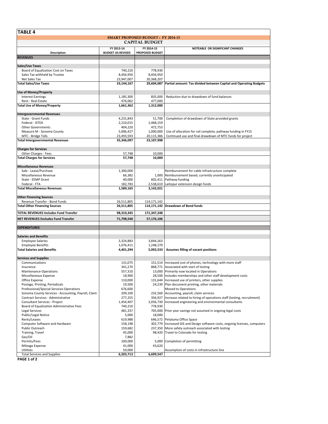| TABLE 4                                                       |                                        |                                          |                                                                                                                      |  |  |
|---------------------------------------------------------------|----------------------------------------|------------------------------------------|----------------------------------------------------------------------------------------------------------------------|--|--|
|                                                               |                                        | <b>SMART PROPOSED BUDGET: FY 2014-15</b> |                                                                                                                      |  |  |
| <b>CAPITAL BUDGET</b>                                         |                                        |                                          |                                                                                                                      |  |  |
| Description                                                   | FY 2013-14<br><b>BUDGET AS REVISED</b> | FY 2014-15<br>PROPOSED BUDGET            | NOTEABLE OR SIGNIFICANT CHANGES                                                                                      |  |  |
| <b>REVENUES</b>                                               |                                        |                                          |                                                                                                                      |  |  |
|                                                               |                                        |                                          |                                                                                                                      |  |  |
| Sales/Use Taxes                                               |                                        |                                          |                                                                                                                      |  |  |
| Board of Equalization Cost on Taxes                           | 740,210                                | 778,930                                  |                                                                                                                      |  |  |
| Sales Tax withheld by Trustee                                 | 8,456,950                              | 8,456,950                                |                                                                                                                      |  |  |
| Net Sales Tax<br><b>Total Sales/Use Taxes</b>                 | 23,947,007                             | 20,368,207                               |                                                                                                                      |  |  |
|                                                               | 33,144,167                             |                                          | 29,604,087   Partial amount: Tax divided between Capital and Operating Budgets                                       |  |  |
| <b>Use of Money/Property</b>                                  |                                        |                                          |                                                                                                                      |  |  |
| <b>Interest Earnings</b>                                      | 1,185,300                              | 835.000                                  | Reduction due to drawdown of fund balances                                                                           |  |  |
| Rent - Real Estate                                            | 476,062                                | 477,000                                  |                                                                                                                      |  |  |
| <b>Total Use of Money/Property</b>                            | 1,661,362                              | 1,312,000                                |                                                                                                                      |  |  |
|                                                               |                                        |                                          |                                                                                                                      |  |  |
| <b>Intergovernmental Revenues</b>                             |                                        |                                          |                                                                                                                      |  |  |
| State - Grant Funds                                           | 4,231,843                              | 51,700                                   | Completion of drawdown of State provided grants                                                                      |  |  |
| Federal - ISTEA                                               | 2,210,015                              | 1,468,159                                |                                                                                                                      |  |  |
| <b>Other Governments</b>                                      | 404,220                                | 472,753                                  |                                                                                                                      |  |  |
| Measure M - Sonoma County                                     | 5,006,427<br>23,493,593                | 1,000,000                                | Use of allocation for rail complete, pathway funding in FY15                                                         |  |  |
| MTC - Bridge Tolls<br><b>Total Intergovernmental Revenues</b> | 35,346,097                             | 20,115,386<br>23,107,998                 | Continued use and final drawdown of MTC funds for project                                                            |  |  |
|                                                               |                                        |                                          |                                                                                                                      |  |  |
| <b>Charges for Services</b>                                   |                                        |                                          |                                                                                                                      |  |  |
| Other Charges - Fees                                          | 57,748                                 | 10,000                                   |                                                                                                                      |  |  |
| <b>Total Charges for Services</b>                             | 57,748                                 | 10,000                                   |                                                                                                                      |  |  |
|                                                               |                                        |                                          |                                                                                                                      |  |  |
| <b>Miscellaneous Revenues</b>                                 |                                        |                                          |                                                                                                                      |  |  |
| Sale - Lease/Purchase                                         | 1,300,000                              |                                          | Reimbursement for cable infrastructure complete                                                                      |  |  |
| Miscellaneous Revenue                                         | 66,382                                 | 1,000                                    | Reimbursement based, currently unanticipated                                                                         |  |  |
| State - EEMP Grant                                            | 40,000                                 | 602,411                                  | Pathway funding                                                                                                      |  |  |
| Federal - FTA                                                 | 182,783                                |                                          | 2,538,610 Larkspur extension design funds                                                                            |  |  |
| <b>Total Miscellaneous Revenues</b>                           | 1,589,165                              | 3,142,021                                |                                                                                                                      |  |  |
| <b>Other Financing Sources</b>                                |                                        |                                          |                                                                                                                      |  |  |
| Revenue Transfer - Bond Funds                                 | 26,511,805                             | 114,171,142                              |                                                                                                                      |  |  |
| <b>Total Other Financing Sources</b>                          | 26,511,805                             |                                          | 114,171,142 Drawdown of Bond funds                                                                                   |  |  |
|                                                               |                                        |                                          |                                                                                                                      |  |  |
| <b>TOTAL REVENUES Includes Fund Transfer</b>                  | 98,310,345                             | 171,347,248                              |                                                                                                                      |  |  |
| <b>NET REVENUES Excludes Fund Transfer</b>                    | 71,798,540                             | 57,176,106                               |                                                                                                                      |  |  |
|                                                               |                                        |                                          |                                                                                                                      |  |  |
| <b>EXPENDITURES</b>                                           |                                        |                                          |                                                                                                                      |  |  |
| <b>Salaries and Benefits</b>                                  |                                        |                                          |                                                                                                                      |  |  |
| <b>Employee Salaries</b>                                      | 3,324,883                              | 3,844,263                                |                                                                                                                      |  |  |
| <b>Employee Benefits</b>                                      | 1,076,411                              | 1,248,270                                |                                                                                                                      |  |  |
| <b>Total Salaries and Benefits</b>                            | 4,401,294                              | 5,092,533                                | Assumes filling of vacant positions                                                                                  |  |  |
|                                                               |                                        |                                          |                                                                                                                      |  |  |
| <b>Services and Supplies</b>                                  |                                        |                                          |                                                                                                                      |  |  |
| Communications                                                | 131,075                                |                                          | 151,514 Increased cost of phones, technology with more staff                                                         |  |  |
| Insurance                                                     | 341,270                                |                                          | 868,771 Associated with start of testing                                                                             |  |  |
| Maintenance-Operations                                        | 557,310                                |                                          | 13,000 Primarily now located in Operations                                                                           |  |  |
| Miscellaneous Expense                                         | 18,900                                 |                                          | 28,500 Includes memberships and other staff development costs                                                        |  |  |
| Office Expense                                                | 110,000                                |                                          | 131,644 Increased use of printers, other supplies                                                                    |  |  |
| Postage, Printing, Periodicals                                | 19,500                                 |                                          | 24,230 Plan document printing, other materials                                                                       |  |  |
| Professional/Special Services-Operations                      | 676,600                                |                                          | Moved to Operations                                                                                                  |  |  |
| Sonoma County Services - Accounting, Payroll, Claim           | 209,100                                | 232,560                                  | Accounting, payroll, claim services                                                                                  |  |  |
| Contract Services - Administrative                            | 277,255                                | 356,927                                  | Increase related to hiring of operations staff (testing, recruitment)                                                |  |  |
| Consultant Services - Project                                 | 1,454,407                              | 2,056,730                                | Increased engineering and environmental consultants                                                                  |  |  |
| Board of Equalization Administrative Fees                     | 740,210                                | 778,930                                  |                                                                                                                      |  |  |
| <b>Legal Services</b>                                         | 481,337                                | 705,000                                  | Prior year savings not assumed in ongoing legal costs                                                                |  |  |
| Public/Legal Notice<br>Rents/Leases                           | 5,000                                  | 18,000                                   |                                                                                                                      |  |  |
|                                                               | 619,988                                | 302,779                                  | 646,572 Petaluma Office Space                                                                                        |  |  |
| Computer Software and Hardware<br>Public Outreach             | 158,198<br>159,682                     | 237,350                                  | Increased GIS and Design software costs, ongoing licenses, computers<br>More safety outreach associated with testing |  |  |
| Training, Travel                                              | 45,000                                 |                                          | 98,420 Travel to Colorado for testing                                                                                |  |  |
| Gas/Oil                                                       | 7,882                                  |                                          |                                                                                                                      |  |  |
| Permits/Fees                                                  | 100,000                                | 5,000                                    | Completion of permitting                                                                                             |  |  |
| Mileage Expense                                               | 41,000                                 | 43,620                                   |                                                                                                                      |  |  |
| Utilities                                                     | 50,000                                 |                                          | Assumption of costs in infrastructure line                                                                           |  |  |
| <b>Total Services and Supplies</b>                            | 6,203,713                              | 6,699,547                                |                                                                                                                      |  |  |

**PAGE 1 of 2**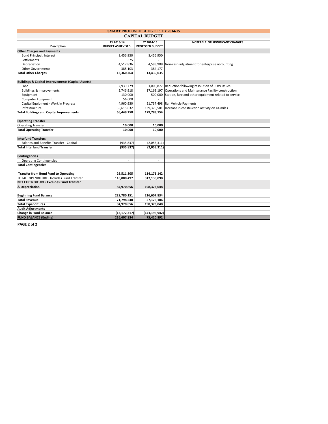| <b>SMART PROPOSED BUDGET: FY 2014-15</b>                     |                          |                        |                                                              |  |
|--------------------------------------------------------------|--------------------------|------------------------|--------------------------------------------------------------|--|
| <b>CAPITAL BUDGET</b>                                        |                          |                        |                                                              |  |
|                                                              | FY 2013-14               | FY 2014-15             | NOTEABLE OR SIGNIFICANT CHANGES                              |  |
| <b>Description</b>                                           | <b>BUDGET AS REVISED</b> | <b>PROPOSED BUDGET</b> |                                                              |  |
| <b>Other Charges and Payments</b>                            |                          |                        |                                                              |  |
| Bond Principal, Interest                                     | 8,456,950                | 8,456,950              |                                                              |  |
| Settlements                                                  | 375                      |                        |                                                              |  |
| Depreciation                                                 | 4,517,836                | 4,593,908              | Non-cash adjustment for enterprise accounting                |  |
| <b>Other Governments</b>                                     | 385,103                  | 384,177                |                                                              |  |
| <b>Total Other Charges</b>                                   | 13,360,264               | 13,435,035             |                                                              |  |
| <b>Buildings &amp; Capital Improvements (Capital Assets)</b> |                          |                        |                                                              |  |
| Land                                                         | 2,939,779                |                        | 1,000,877 Reduction following resolution of ROW issues       |  |
| <b>Buildings &amp; Improvements</b>                          | 2,746,918                |                        | 17,169,197 Operations and Maintenance Facility construction  |  |
| Equipment                                                    | 130,000                  |                        | 500,000 Station, fare and other equipment related to service |  |
| Computer Equipment                                           | 56,000                   |                        |                                                              |  |
| Capital Equipment - Work in Progress                         | 4,960,930                |                        | 21,737,498 Rail Vehicle Payments                             |  |
| Infrastructure                                               | 55,615,632               | 139,375,581            | Increase in construction activity on 44 miles                |  |
| <b>Total Buildings and Capital Improvements</b>              | 66,449,258               | 179,783,154            |                                                              |  |
| <b>Operating Transfer</b>                                    |                          |                        |                                                              |  |
| <b>Operating Transfer</b>                                    | 10,000                   | 10,000                 |                                                              |  |
| <b>Total Operating Transfer</b>                              | 10,000                   | 10.000                 |                                                              |  |
|                                                              |                          |                        |                                                              |  |
| <b>Interfund Transfers</b>                                   |                          |                        |                                                              |  |
| Salaries and Benefits Transfer - Capital                     | (935, 837)               | (2,053,311)            |                                                              |  |
| <b>Total Interfund Transfer</b>                              | (935, 837)               | (2,053,311)            |                                                              |  |
| <b>Contingencies</b>                                         |                          |                        |                                                              |  |
| <b>Operating Contingencies</b>                               | $\sim$                   | $\sim$                 |                                                              |  |
| <b>Total Contingencies</b>                                   | $\overline{a}$           |                        |                                                              |  |
| <b>Transfer from Bond Fund to Operating</b>                  | 26,511,805               | 114,171,142            |                                                              |  |
| TOTAL EXPENDITURES Includes Fund Transfer                    | 116,000,497              | 317,138,098            |                                                              |  |
| <b>NET EXPENDITURES Excludes Fund Transfer</b>               |                          |                        |                                                              |  |
| & Depreciation                                               | 84,970,856               | 198,373,048            |                                                              |  |
|                                                              |                          |                        |                                                              |  |
| <b>Beginning Fund Balance</b>                                | 229,780,151              | 216,607,834            |                                                              |  |
| <b>Total Revenue</b>                                         | 71,798,540               | 57,176,106             |                                                              |  |
| <b>Total Expenditures</b>                                    | 84,970,856               | 198,373,048            |                                                              |  |
| <b>Audit Adjustments</b>                                     | $\sim$                   |                        |                                                              |  |
| <b>Change in Fund Balance</b>                                | (13, 172, 317)           | (141, 196, 942)        |                                                              |  |
| <b>FUND BALANCE (Ending)</b>                                 | 216,607,834              | 75,410,892             |                                                              |  |

**PAGE 2 of 2**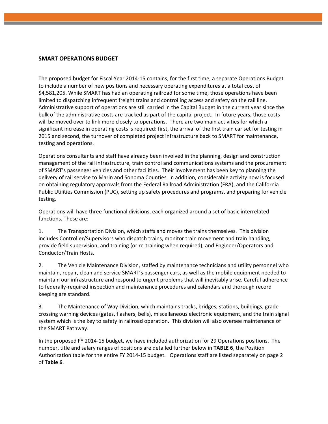# **SMART OPERATIONS BUDGET**

The proposed budget for Fiscal Year 2014‐15 contains, for the first time, a separate Operations Budget to include a number of new positions and necessary operating expenditures at a total cost of \$4,581,205. While SMART has had an operating railroad for some time, those operations have been limited to dispatching infrequent freight trains and controlling access and safety on the rail line. Administrative support of operations are still carried in the Capital Budget in the current year since the bulk of the administrative costs are tracked as part of the capital project. In future years, those costs will be moved over to link more closely to operations. There are two main activities for which a significant increase in operating costs is required: first, the arrival of the first train car set for testing in 2015 and second, the turnover of completed project infrastructure back to SMART for maintenance, testing and operations.

Operations consultants and staff have already been involved in the planning, design and construction management of the rail infrastructure, train control and communications systems and the procurement of SMART's passenger vehicles and other facilities. Their involvement has been key to planning the delivery of rail service to Marin and Sonoma Counties. In addition, considerable activity now is focused on obtaining regulatory approvals from the Federal Railroad Administration (FRA), and the California Public Utilities Commission (PUC), setting up safety procedures and programs, and preparing for vehicle testing.

Operations will have three functional divisions, each organized around a set of basic interrelated functions. These are:

1. The Transportation Division, which staffs and moves the trains themselves. This division includes Controller/Supervisors who dispatch trains, monitor train movement and train handling, provide field supervision, and training (or re‐training when required), and Engineer/Operators and Conductor/Train Hosts.

2. The Vehicle Maintenance Division, staffed by maintenance technicians and utility personnel who maintain, repair, clean and service SMART's passenger cars, as well as the mobile equipment needed to maintain our infrastructure and respond to urgent problems that will inevitably arise. Careful adherence to federally‐required inspection and maintenance procedures and calendars and thorough record keeping are standard.

3. The Maintenance of Way Division, which maintains tracks, bridges, stations, buildings, grade crossing warning devices (gates, flashers, bells), miscellaneous electronic equipment, and the train signal system which is the key to safety in railroad operation. This division will also oversee maintenance of the SMART Pathway.

In the proposed FY 2014‐15 budget, we have included authorization for 29 Operations positions. The number, title and salary ranges of positions are detailed further below in **TABLE 6**, the Position Authorization table for the entire FY 2014‐15 budget. Operations staff are listed separately on page 2 of **Table 6**.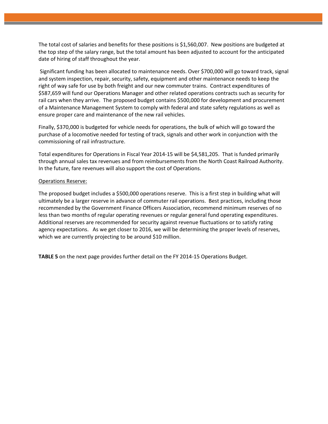The total cost of salaries and benefits for these positions is \$1,560,007. New positions are budgeted at the top step of the salary range, but the total amount has been adjusted to account for the anticipated date of hiring of staff throughout the year.

Significant funding has been allocated to maintenance needs. Over \$700,000 will go toward track, signal and system inspection, repair, security, safety, equipment and other maintenance needs to keep the right of way safe for use by both freight and our new commuter trains. Contract expenditures of \$587,659 will fund our Operations Manager and other related operations contracts such as security for rail cars when they arrive. The proposed budget contains \$500,000 for development and procurement of a Maintenance Management System to comply with federal and state safety regulations as well as ensure proper care and maintenance of the new rail vehicles.

Finally, \$370,000 is budgeted for vehicle needs for operations, the bulk of which will go toward the purchase of a locomotive needed for testing of track, signals and other work in conjunction with the commissioning of rail infrastructure.

Total expenditures for Operations in Fiscal Year 2014‐15 will be \$4,581,205. That is funded primarily through annual sales tax revenues and from reimbursements from the North Coast Railroad Authority. In the future, fare revenues will also support the cost of Operations.

#### Operations Reserve:

The proposed budget includes a \$500,000 operations reserve. This is a first step in building what will ultimately be a larger reserve in advance of commuter rail operations. Best practices, including those recommended by the Government Finance Officers Association, recommend minimum reserves of no less than two months of regular operating revenues or regular general fund operating expenditures. Additional reserves are recommended for security against revenue fluctuations or to satisfy rating agency expectations. As we get closer to 2016, we will be determining the proper levels of reserves, which we are currently projecting to be around \$10 million.

**TABLE 5** on the next page provides further detail on the FY 2014‐15 Operations Budget.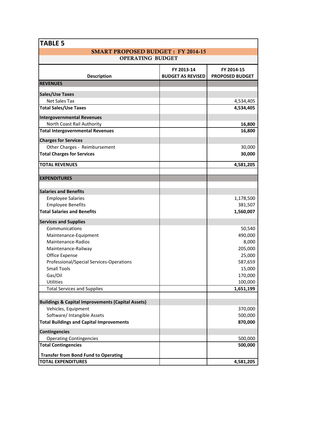| <b>TABLE 5</b>                                               |                                        |                                      |
|--------------------------------------------------------------|----------------------------------------|--------------------------------------|
| <b>SMART PROPOSED BUDGET: FY 2014-15</b>                     |                                        |                                      |
| <b>OPERATING BUDGET</b>                                      |                                        |                                      |
| <b>Description</b>                                           | FY 2013-14<br><b>BUDGET AS REVISED</b> | FY 2014-15<br><b>PROPOSED BUDGET</b> |
| <b>REVENUES</b>                                              |                                        |                                      |
|                                                              |                                        |                                      |
| <b>Sales/Use Taxes</b>                                       |                                        |                                      |
| Net Sales Tax                                                |                                        | 4,534,405                            |
| <b>Total Sales/Use Taxes</b>                                 |                                        | 4,534,405                            |
| <b>Intergovernmental Revenues</b>                            |                                        |                                      |
| North Coast Rail Authority                                   |                                        | 16,800                               |
| <b>Total Intergovernmental Revenues</b>                      |                                        | 16,800                               |
| <b>Charges for Services</b>                                  |                                        |                                      |
| Other Charges - Reimbursement                                |                                        | 30,000                               |
| <b>Total Charges for Services</b>                            |                                        | 30,000                               |
| <b>TOTAL REVENUES</b>                                        |                                        | 4,581,205                            |
|                                                              |                                        |                                      |
| <b>EXPENDITURES</b>                                          |                                        |                                      |
|                                                              |                                        |                                      |
| <b>Salaries and Benefits</b>                                 |                                        |                                      |
| <b>Employee Salaries</b>                                     |                                        | 1,178,500                            |
| <b>Employee Benefits</b>                                     |                                        | 381,507                              |
| <b>Total Salaries and Benefits</b>                           |                                        | 1,560,007                            |
| <b>Services and Supplies</b>                                 |                                        |                                      |
| Communications                                               |                                        | 50,540                               |
| Maintenance-Equipment                                        |                                        | 490,000                              |
| Maintenance-Radios                                           |                                        | 8,000                                |
| Maintenance-Railway                                          |                                        | 205,000                              |
| Office Expense                                               |                                        | 25,000                               |
| Professional/Special Services-Operations                     |                                        | 587,659                              |
| <b>Small Tools</b>                                           |                                        | 15,000                               |
| Gas/Oil                                                      |                                        | 170,000                              |
| <b>Utilities</b>                                             |                                        | 100,000                              |
| <b>Total Services and Supplies</b>                           |                                        | 1,651,199                            |
| <b>Buildings &amp; Capital Improvements (Capital Assets)</b> |                                        |                                      |
| Vehicles, Equipment                                          |                                        | 370,000                              |
| Software/ Intangible Assets                                  |                                        | 500,000                              |
| <b>Total Buildings and Capital Improvements</b>              |                                        | 870,000                              |
|                                                              |                                        |                                      |
| <b>Contingencies</b><br><b>Operating Contingencies</b>       |                                        | 500,000                              |
| <b>Total Contingencies</b>                                   |                                        | 500,000                              |
|                                                              |                                        |                                      |
| <b>Transfer from Bond Fund to Operating</b>                  |                                        |                                      |
| <b>TOTAL EXPENDITURES</b>                                    |                                        | 4,581,205                            |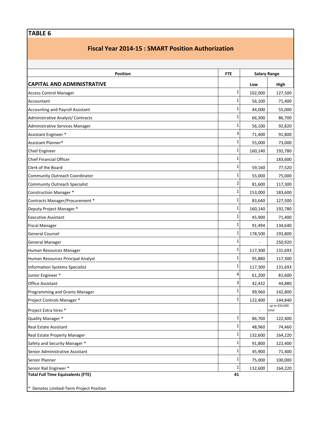# **TABLE 6**

# **Fiscal Year 2014‐15 : SMART Position Authorization**

| <b>Position</b>                          | <b>FTE</b> |         | <b>Salary Range</b>     |
|------------------------------------------|------------|---------|-------------------------|
| <b>CAPITAL AND ADMINISTRATIVE</b>        |            | Low     | High                    |
| <b>Access Control Manager</b>            | 1          | 102,000 | 127,500                 |
| Accountant                               | 1          | 56,100  | 71,400                  |
| <b>Accounting and Payroll Assistant</b>  | 1          | 44,000  | 55,000                  |
| Administrative Analyst/ Contracts        | 1          | 66,300  | 86,700                  |
| Administrative Services Manager          | 1          | 56,100  | 92,820                  |
| Assistant Engineer *                     | 3          | 71,400  | 91,800                  |
| Assistant Planner*                       | 1          | 55,000  | 73,000                  |
| <b>Chief Engineer</b>                    | 1          | 160,140 | 192,780                 |
| <b>Chief Financial Officer</b>           | 1          |         | 183,600                 |
| Clerk of the Board                       | 1          | 59,160  | 77,520                  |
| <b>Community Outreach Coordinator</b>    | 1          | 55,000  | 75,000                  |
| <b>Community Outreach Specialist</b>     | 2          | 81,600  | 117,300                 |
| <b>Construction Manager *</b>            | 1          | 153,000 | 183,600                 |
| Contracts Manager/Procurement *          | 1          | 83,640  | 127,500                 |
| Deputy Project Manager *                 | 1          | 160,140 | 192,780                 |
| <b>Executive Assistant</b>               | 1          | 45,900  | 71,400                  |
| <b>Fiscal Manager</b>                    | 1          | 91,494  | 134,640                 |
| <b>General Counsel</b>                   | 1          | 178,500 | 193,800                 |
| <b>General Manager</b>                   | 1          |         | 250,920                 |
| Human Resources Manager                  | 1          | 117,300 | 131,693                 |
| Human Resources Principal Analyst        | 1          | 95,880  | 117,300                 |
| <b>Information Systems Specialist</b>    | 1          | 117,300 | 131,693                 |
| Junior Engineer *                        | 4          | 61,200  | 81,600                  |
| <b>Office Assistant</b>                  | 3          | 42,432  | 44,880                  |
| Programming and Grants Manager           | 1          | 99,960  | 142,800                 |
| Project Controls Manager *               | 1          | 122,400 | 144,840                 |
| Project Extra hires *                    |            |         | up to \$50,000<br>total |
| Quality Manager *                        | 1          | 86,700  | 122,400                 |
| Real Estate Assistant                    | 1          | 48,960  | 74,460                  |
| Real Estate Property Manager             | 1          | 132,600 | 164,220                 |
| Safety and Security Manager *            | 1          | 91,800  | 122,400                 |
| Senior Administrative Assistant          | 1          | 45,900  | 71,400                  |
| Senior Planner                           | 1          | 75,000  | 100,000                 |
| Senior Rail Engineer *                   | 1          | 132,600 | 164,220                 |
| <b>Total Full Time Equivalents (FTE)</b> | 41         |         |                         |

\* Denotes Limited‐Term Project Position